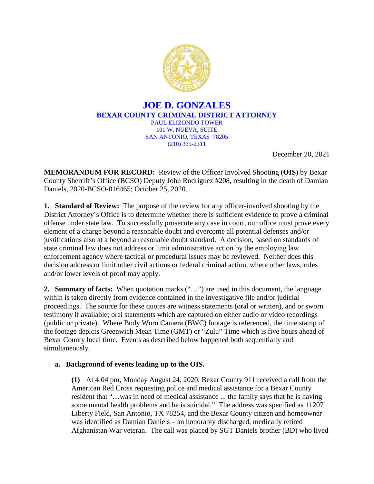

## **JOE D. GONZALES BEXAR COUNTY CRIMINAL DISTRICT ATTORNEY** PAUL ELIZONDO TOWER 101 W. NUEVA, SUITE SAN ANTONIO, TEXAS 78205 (210) 335-2311

December 20, 2021

**MEMORANDUM FOR RECORD:** Review of the Officer Involved Shooting (**OIS**) by Bexar County Sherriff's Office (BCSO) Deputy John Rodriguez #208, resulting in the death of Damian Daniels, 2020-BCSO-016465; October 25, 2020.

**1. Standard of Review:** The purpose of the review for any officer-involved shooting by the District Attorney's Office is to determine whether there is sufficient evidence to prove a criminal offense under state law. To successfully prosecute any case in court, our office must prove every element of a charge beyond a reasonable doubt and overcome all potential defenses and/or justifications also at a beyond a reasonable doubt standard. A decision, based on standards of state criminal law does not address or limit administrative action by the employing law enforcement agency where tactical or procedural issues may be reviewed. Neither does this decision address or limit other civil actions or federal criminal action, where other laws, rules and/or lower levels of proof may apply.

**2. Summary of facts:** When quotation marks ("...") are used in this document, the language within is taken directly from evidence contained in the investigative file and/or judicial proceedings. The source for these quotes are witness statements (oral or written), and or sworn testimony if available; oral statements which are captured on either audio or video recordings (public or private). Where Body Worn Camera (BWC) footage is referenced, the time stamp of the footage depicts Greenwich Mean Time (GMT) or "Zulu" Time which is five hours ahead of Bexar County local time. Events as described below happened both sequentially and simultaneously.

# **a. Background of events leading up to the OIS.**

**(1)** At 4:04 pm, Monday August 24, 2020, Bexar County 911 received a call from the American Red Cross requesting police and medical assistance for a Bexar County resident that "…was in need of medical assistance ... the family says that he is having some mental health problems and he is suicidal." The address was specified as 11207 Liberty Field, San Antonio, TX 78254, and the Bexar County citizen and homeowner was identified as Damian Daniels – an honorably discharged, medically retired Afghanistan War veteran. The call was placed by SGT Daniels brother (BD) who lived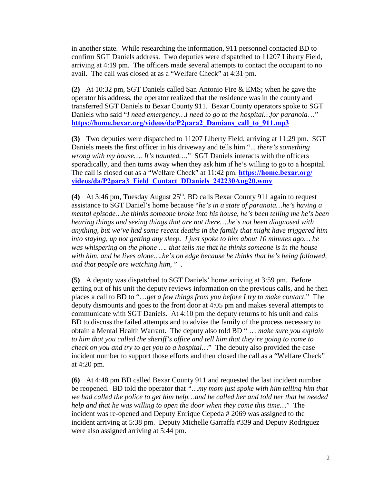in another state. While researching the information, 911 personnel contacted BD to confirm SGT Daniels address. Two deputies were dispatched to 11207 Liberty Field, arriving at 4:19 pm. The officers made several attempts to contact the occupant to no avail. The call was closed at as a "Welfare Check" at 4:31 pm.

**(2)** At 10:32 pm, SGT Daniels called San Antonio Fire & EMS; when he gave the operator his address, the operator realized that the residence was in the county and transferred SGT Daniels to Bexar County 911. Bexar County operators spoke to SGT Daniels who said "*I need emergency…I need to go to the hospital…for paranoia*…" **[https://home.bexar.org/videos/da/P2para2\\_Damians\\_call\\_to\\_911.mp3](https://home.bexar.org/videos/da/P2para2_Damians_call_to_911.mp3)**

**(3)** Two deputies were dispatched to 11207 Liberty Field, arriving at 11:29 pm. SGT Daniels meets the first officer in his driveway and tells him "... *there's something wrong with my house…. It's haunted….*" SGT Daniels interacts with the officers sporadically, and then turns away when they ask him if he's willing to go to a hospital. The call is closed out as a "Welfare Check" at 11:42 pm. **https://home.bexar.org/ [videos/da/P2para3\\_Field\\_Contact\\_DDaniels\\_242230Aug20.wmv](https://home.bexar.org/videos/da/P2para3_Field_Contact_DDaniels_242230Aug20.wmv)** 

(4) At 3:46 pm, Tuesday August 25<sup>th</sup>, BD calls Bexar County 911 again to request assistance to SGT Daniel's home because "*he's in a state of paranoia…he's having a mental episode…he thinks someone broke into his house, he's been telling me he's been hearing things and seeing things that are not there….he's not been diagnosed with anything, but we've had some recent deaths in the family that might have triggered him into staying, up not getting any sleep. I just spoke to him about 10 minutes ago… he was whispering on the phone …. that tells me that he thinks someone is in the house with him, and he lives alone….he's on edge because he thinks that he's being followed, and that people are watching him,* " .

**(5)** A deputy was dispatched to SGT Daniels' home arriving at 3:59 pm. Before getting out of his unit the deputy reviews information on the previous calls, and he then places a call to BD to "…*get a few things from you before I try to make contact*." The deputy dismounts and goes to the front door at 4:05 pm and makes several attempts to communicate with SGT Daniels. At 4:10 pm the deputy returns to his unit and calls BD to discuss the failed attempts and to advise the family of the process necessary to obtain a Mental Health Warrant. The deputy also told BD " … *make sure you explain to him that you called the sheriff's office and tell him that they're going to come to check on you and try to get you to a hospital…*" The deputy also provided the case incident number to support those efforts and then closed the call as a "Welfare Check" at 4:20 pm.

**(6)** At 4:48 pm BD called Bexar County 911 and requested the last incident number be reopened. BD told the operator that *"…my mom just spoke with him telling him that we had called the police to get him help…and he called her and told her that he needed help and that he was willing to open the door when they come this time…*" The incident was re-opened and Deputy Enrique Cepeda # 2069 was assigned to the incident arriving at 5:38 pm. Deputy Michelle Garraffa #339 and Deputy Rodriguez were also assigned arriving at 5:44 pm.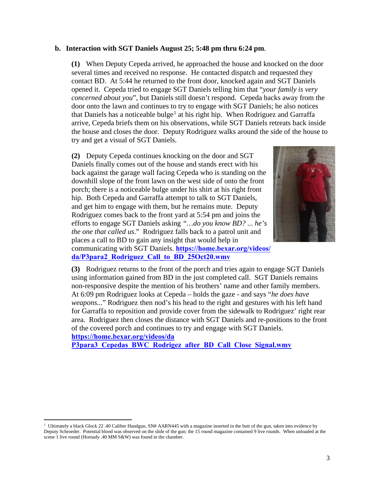## **b. Interaction with SGT Daniels August 25; 5:48 pm thru 6:24 pm**.

**(1)** When Deputy Cepeda arrived, he approached the house and knocked on the door several times and received no response. He contacted dispatch and requested they contact BD. At 5:44 he returned to the front door, knocked again and SGT Daniels opened it. Cepeda tried to engage SGT Daniels telling him that "*your family is very concerned about you*", but Daniels still doesn't respond. Cepeda backs away from the door onto the lawn and continues to try to engage with SGT Daniels; he also notices that Daniels has a noticeable bulge<sup>[1](#page-2-0)</sup> at his right hip. When Rodriguez and Garraffa arrive, Cepeda briefs them on his observations, while SGT Daniels retreats back inside the house and closes the door. Deputy Rodriguez walks around the side of the house to try and get a visual of SGT Daniels.

**(2)** Deputy Cepeda continues knocking on the door and SGT Daniels finally comes out of the house and stands erect with his back against the garage wall facing Cepeda who is standing on the downhill slope of the front lawn on the west side of onto the front porch; there is a noticeable bulge under his shirt at his right front hip. Both Cepeda and Garraffa attempt to talk to SGT Daniels, and get him to engage with them, but he remains mute. Deputy Rodriguez comes back to the front yard at 5:54 pm and joins the efforts to engage SGT Daniels asking *"…do you know BD? ... he's the one that called us*." Rodriguez falls back to a patrol unit and places a call to BD to gain any insight that would help in communicating with SGT Daniels. **[https://home.bexar.org/videos/](https://home.bexar.org/videos/da/P3para2_Rodriguez_Call_to_BD_25Oct20.wmv) [da/P3para2\\_Rodriguez\\_Call\\_to\\_BD\\_25Oct20.wmv](https://home.bexar.org/videos/da/P3para2_Rodriguez_Call_to_BD_25Oct20.wmv)** 



**(3)** Rodriguez returns to the front of the porch and tries again to engage SGT Daniels using information gained from BD in the just completed call. SGT Daniels remains non-responsive despite the mention of his brothers' name and other family members. At 6:09 pm Rodriguez looks at Cepeda – holds the gaze - and says "*he does have weapons...*" Rodriguez then nod's his head to the right and gestures with his left hand for Garraffa to reposition and provide cover from the sidewalk to Rodriguez' right rear area. Rodriguez then closes the distance with SGT Daniels and re-positions to the front of the covered porch and continues to try and engage with SGT Daniels.

**https://home.bexar.org/videos/da** 

**[P3para3\\_Cepedas\\_BWC\\_Rodrigez\\_after\\_BD\\_Call\\_Close\\_Signal.wmv](https://home.bexar.org/videos/da/P3para3_Cepedas_BWC_Rodrigez_after_BD_Call_Close_Signal.wmv)** 

<span id="page-2-0"></span><sup>&</sup>lt;sup>1</sup> Ultimately a black Glock 22 .40 Caliber Handgun, SN# AARN445 with a magazine inserted in the butt of the gun, taken into evidence by Deputy Schroeder. Potential blood was observed on the slide of the gun; the 15 round magazine contained 9 live rounds. When unloaded at the scene 1 live round (Hornady .40 MM S&W) was found in the chamber.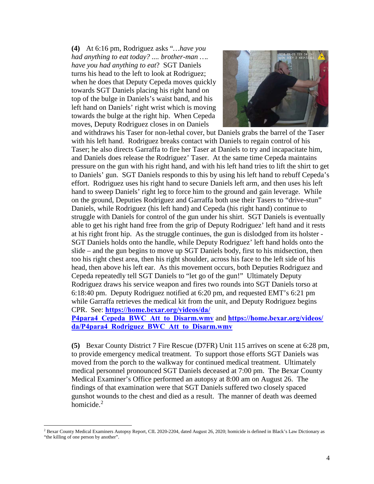**(4)** At 6:16 pm, Rodriguez asks "*…have you had anything to eat today? .... brother-man …. have you had anything to eat*? SGT Daniels turns his head to the left to look at Rodriguez; when he does that Deputy Cepeda moves quickly towards SGT Daniels placing his right hand on top of the bulge in Daniels's waist band, and his left hand on Daniels' right wrist which is moving towards the bulge at the right hip. When Cepeda moves, Deputy Rodriguez closes in on Daniels



and withdraws his Taser for non-lethal cover, but Daniels grabs the barrel of the Taser with his left hand. Rodriguez breaks contact with Daniels to regain control of his Taser; he also directs Garraffa to fire her Taser at Daniels to try and incapacitate him, and Daniels does release the Rodriguez' Taser. At the same time Cepeda maintains pressure on the gun with his right hand, and with his left hand tries to lift the shirt to get to Daniels' gun. SGT Daniels responds to this by using his left hand to rebuff Cepeda's effort. Rodriguez uses his right hand to secure Daniels left arm, and then uses his left hand to sweep Daniels' right leg to force him to the ground and gain leverage. While on the ground, Deputies Rodriguez and Garraffa both use their Tasers to "drive-stun" Daniels, while Rodriguez (his left hand) and Cepeda (his right hand) continue to struggle with Daniels for control of the gun under his shirt. SGT Daniels is eventually able to get his right hand free from the grip of Deputy Rodriguez' left hand and it rests at his right front hip. As the struggle continues, the gun is dislodged from its holster - SGT Daniels holds onto the handle, while Deputy Rodriguez' left hand holds onto the slide – and the gun begins to move up SGT Daniels body, first to his midsection, then too his right chest area, then his right shoulder, across his face to the left side of his head, then above his left ear. As this movement occurs, both Deputies Rodriguez and Cepeda repeatedly tell SGT Daniels to "let go of the gun!" Ultimately Deputy Rodriguez draws his service weapon and fires two rounds into SGT Daniels torso at 6:18:40 pm. Deputy Rodriguez notified at 6:20 pm, and requested EMT's 6:21 pm while Garraffa retrieves the medical kit from the unit, and Deputy Rodriguez begins CPR. See: **[https://home.bexar.org/videos/da/](https://home.bexar.org/videos/da/P4para4_Cepeda_BWC_Att_to_Disarm.wmv)**

**[P4para4\\_Cepeda\\_BWC\\_Att\\_to\\_Disarm.wmv](https://home.bexar.org/videos/da/P4para4_Cepeda_BWC_Att_to_Disarm.wmv)** and **[https://home.bexar.org/videos/](https://home.bexar.org/videos/da/P4para4_Rodriguez_BWC_Att_to_Disarm.wmv) [da/P4para4\\_Rodriguez\\_BWC\\_Att\\_to\\_Disarm.wmv](https://home.bexar.org/videos/da/P4para4_Rodriguez_BWC_Att_to_Disarm.wmv)** 

**(5)** Bexar County District 7 Fire Rescue (D7FR) Unit 115 arrives on scene at 6:28 pm, to provide emergency medical treatment. To support those efforts SGT Daniels was moved from the porch to the walkway for continued medical treatment. Ultimately medical personnel pronounced SGT Daniels deceased at 7:00 pm. The Bexar County Medical Examiner's Office performed an autopsy at 8:00 am on August 26. The findings [of](#page-3-0) that examination were that SGT Daniels suffered two closely spaced gunshot wounds to the chest and died as a result. The manner of death was deemed homicide.<sup>2</sup>

<span id="page-3-0"></span><sup>&</sup>lt;sup>2</sup> Bexar County Medical Examiners Autopsy Report, CIL 2020-2204, dated August 26, 2020; homicide is defined in Black's Law Dictionary as "the killing of one person by another".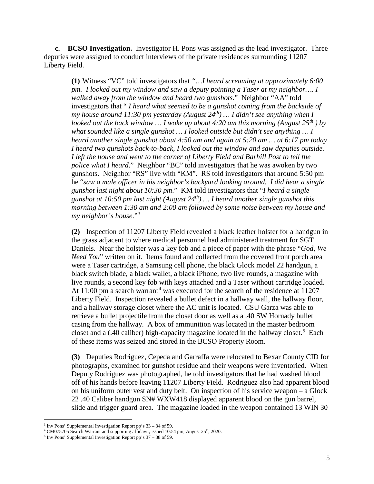**c. BCSO Investigation.** Investigator H. Pons was assigned as the lead investigator. Three deputies were assigned to conduct interviews of the private residences surrounding 11207 Liberty Field.

**(1)** Witness "VC" told investigators that *"…I heard screaming at approximately 6:00 pm. I looked out my window and saw a deputy pointing a Taser at my neighbor…. I walked away from the window and heard two gunshots.*" Neighbor "AA" told investigators that " *I heard what seemed to be a gunshot coming from the backside of my house around 11:30 pm yesterday (August 24th) … I didn't see anything when I looked out the back window … I woke up about 4:20 am this morning (August 25th ) by what sounded like a single gunshot … I looked outside but didn't see anything … I heard another single gunshot about 4:50 am and again at 5:20 am … at 6:17 pm today I heard two gunshots back-to-back, I looked out the window and saw deputies outside. I left the house and went to the corner of Liberty Field and Barhill Post to tell the police what I heard*." Neighbor "BC" told investigators that he was awoken by two gunshots. Neighbor "RS" live with "KM". RS told investigators that around 5:50 pm he "*saw a male officer in his neighbor's backyard looking around. I did hear a single gunshot last night about 10:30 pm*." KM told investigators that "*I heard a single gunshot at 10:50 pm last night (August 24th) … I heard another single gunshot this morning between 1:30 am and 2:00 am followed by some noise between my house and my neighbor's house*."[3](#page-4-0)

**(2)** Inspection of 11207 Liberty Field revealed a black leather holster for a handgun in the grass adjacent to where medical personnel had administered treatment for SGT Daniels. Near the holster was a key fob and a piece of paper with the phrase "*God, We Need You*" written on it. Items found and collected from the covered front porch area were a Taser cartridge, a Samsung cell phone, the black Glock model 22 handgun, a black switch blade, a black wallet, a black iPhone, two live rounds, a magazine with live rounds, a second key fob with keys attached and a Taser without cartridge loaded. At 11:00 pm a search warrant<sup>[4](#page-4-1)</sup> was executed for the search of the residence at 11207 Liberty Field. Inspection revealed a bullet defect in a hallway wall, the hallway floor, and a hallway storage closet where the AC unit is located. CSU Garza was able to retrieve a bullet projectile from the closet door as well as a .40 SW Hornady bullet casing from the hallway. A box of ammunition was located in the master bedroom closet and a (.40 caliber) high-capacity magazine located in the hallway closet. [5](#page-4-2) Each of these items was seized and stored in the BCSO Property Room.

**(3)** Deputies Rodriguez, Cepeda and Garraffa were relocated to Bexar County CID for photographs, examined for gunshot residue and their weapons were inventoried. When Deputy Rodriguez was photographed, he told investigators that he had washed blood off of his hands before leaving 11207 Liberty Field. Rodriguez also had apparent blood on his uniform outer vest and duty belt. On inspection of his service weapon – a Glock 22 .40 Caliber handgun SN# WXW418 displayed apparent blood on the gun barrel, slide and trigger guard area. The magazine loaded in the weapon contained 13 WIN 30

 $3$  Inv Pons' Supplemental Investigation Report pp's  $33 - 34$  of 59.

<span id="page-4-1"></span><span id="page-4-0"></span><sup>&</sup>lt;sup>4</sup> CM075705 Search Warrant and supporting affidavit, issued 10:54 pm, August 25<sup>th</sup>, 2020.

<span id="page-4-2"></span> $5$  Inv Pons' Supplemental Investigation Report pp's 37 – 38 of 59.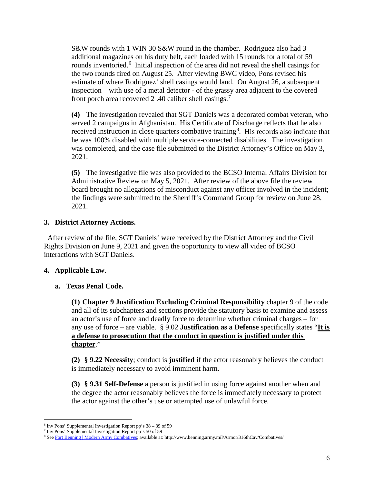S&W rounds with 1 WIN 30 S&W round in the chamber. Rodriguez also had 3 additional magazines on his duty belt, each loaded with 15 rounds for a total of 59 rounds inventoried.<sup>[6](#page-5-0)</sup> Initial inspection of the area did not reveal the shell casings for the two rounds fired on August 25. After viewing BWC video, Pons revised his estimate of where Rodriguez' shell casings would land. On August 26, a subsequent inspection – with use of a metal detector - of the grassy area adjacent to the covered front porch area recovered 2 .40 caliber shell casings.<sup>[7](#page-5-1)</sup>

**(4)** The investigation revealed that SGT Daniels was a decorated combat veteran, who served 2 campaigns in Afghanistan. His Certificate of Discharge reflects that he also received instruction in close quarters combative training<sup>[8](#page-5-2)</sup>. His records also indicate that he was 100% disabled with multiple service-connected disabilities. The investigation was completed, and the case file submitted to the District Attorney's Office on May 3, 2021.

**(5)** The investigative file was also provided to the BCSO Internal Affairs Division for Administrative Review on May 5, 2021. After review of the above file the review board brought no allegations of misconduct against any officer involved in the incident; the findings were submitted to the Sherriff's Command Group for review on June 28, 2021.

## **3. District Attorney Actions.**

 After review of the file, SGT Daniels' were received by the District Attorney and the Civil Rights Division on June 9, 2021 and given the opportunity to view all video of BCSO interactions with SGT Daniels.

# **4. Applicable Law**.

#### **a. Texas Penal Code.**

**(1) Chapter 9 Justification Excluding Criminal Responsibility** chapter 9 of the code and all of its subchapters and sections provide the statutory basis to examine and assess an actor's use of force and deadly force to determine whether criminal charges – for any use of force – are viable. § 9.02 **Justification as a Defense** specifically states "**It is a defense to prosecution that the conduct in question is justified under this chapter**."

**(2) § 9.22 Necessity**; conduct is **justified** if the actor reasonably believes the conduct is immediately necessary to avoid imminent harm.

**(3) § 9.31 Self-Defense** a person is justified in using force against another when and the degree the actor reasonably believes the force is immediately necessary to protect the actor against the other's use or attempted use of unlawful force.

 $6$  Inv Pons' Supplemental Investigation Report pp's  $38 - 39$  of 59

<span id="page-5-1"></span><span id="page-5-0"></span><sup>7</sup> Inv Pons' Supplemental Investigation Report pp's 50 of 59

<span id="page-5-2"></span><sup>&</sup>lt;sup>8</sup> Se[e Fort Benning | Modern Army Combatives;](https://www.benning.army.mil/Armor/316thCav/Combatives/) available at: http://www.benning.army.mil/Armor/316thCav/Combatives/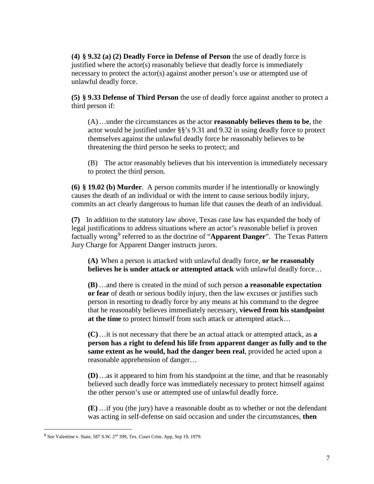**(4) § 9.32 (a) (2) Deadly Force in Defense of Person** the use of deadly force is justified where the actor(s) reasonably believe that deadly force is immediately necessary to protect the actor(s) against another person's use or attempted use of unlawful deadly force.

**(5) § 9.33 Defense of Third Person** the use of deadly force against another to protect a third person if:

(A)…under the circumstances as the actor **reasonably believes them to be**, the actor would be justified under §§'s 9.31 and 9.32 in using deadly force to protect themselves against the unlawful deadly force he reasonably believes to be threatening the third person he seeks to protect; and

(B) The actor reasonably believes that his intervention is immediately necessary to protect the third person.

**(6) § 19.02 (b) Murder**. A person commits murder if he intentionally or knowingly causes the death of an individual or with the intent to cause serious bodily injury, commits an act clearly dangerous to human life that causes the death of an individual.

**(7)** In addition to the statutory law above, Texas case law has expanded the body of legal justifications to address situations where an actor's reasonable belief is proven factually wrong<sup>[9](#page-6-0)</sup> referred to as the doctrine of "**Apparent Danger**". The Texas Pattern Jury Charge for Apparent Danger instructs jurors.

**(A)** When a person is attacked with unlawful deadly force, **or he reasonably believes he is under attack or attempted attack** with unlawful deadly force…

**(B)** …and there is created in the mind of such person **a reasonable expectation or fear** of death or serious bodily injury, then the law excuses or justifies such person in resorting to deadly force by any means at his command to the degree that he reasonably believes immediately necessary, **viewed from his standpoint at the time** to protect himself from such attack or attempted attack…

**(C)**…it is not necessary that there be an actual attack or attempted attack, as **a person has a right to defend his life from apparent danger as fully and to the same extent as he would, had the danger been real**, provided he acted upon a reasonable apprehension of danger…

**(D)**…as it appeared to him from his standpoint at the time, and that he reasonably believed such deadly force was immediately necessary to protect himself against the other person's use or attempted use of unlawful deadly force.

**(E)** …if you (the jury) have a reasonable doubt as to whether or not the defendant was acting in self-defense on said occasion and under the circumstances, **then** 

<span id="page-6-0"></span><sup>&</sup>lt;sup>9</sup> See Valentine v. State, 587 S.W. 2<sup>nd</sup> 399, Tex. Court Crim. App, Sep 19, 1979.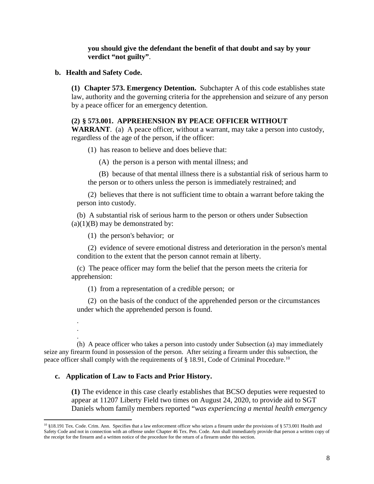**you should give the defendant the benefit of that doubt and say by your verdict "not guilty"**.

**b. Health and Safety Code.**

**(1) Chapter 573. Emergency Detention.** Subchapter A of this code establishes state law, authority and the governing criteria for the apprehension and seizure of any person by a peace officer for an emergency detention.

## **(2) § 573.001. APPREHENSION BY PEACE OFFICER WITHOUT**

**WARRANT**. (a) A peace officer, without a warrant, may take a person into custody, regardless of the age of the person, if the officer:

(1) has reason to believe and does believe that:

(A) the person is a person with mental illness; and

(B) because of that mental illness there is a substantial risk of serious harm to the person or to others unless the person is immediately restrained; and

(2) believes that there is not sufficient time to obtain a warrant before taking the person into custody.

(b) A substantial risk of serious harm to the person or others under Subsection  $(a)(1)(B)$  may be demonstrated by:

(1) the person's behavior; or

(2) evidence of severe emotional distress and deterioration in the person's mental condition to the extent that the person cannot remain at liberty.

(c) The peace officer may form the belief that the person meets the criteria for apprehension:

(1) from a representation of a credible person; or

(2) on the basis of the conduct of the apprehended person or the circumstances under which the apprehended person is found.

(h) A peace officer who takes a person into custody under Subsection (a) may immediately seize any firearm found in possession of the person. After seizing a firearm under this subsection, the peace officer shall comply with the requirements of § 18.91, Code of Criminal Procedure.<sup>[10](#page-7-0)</sup>

#### **c. Application of Law to Facts and Prior History.**

. . .

**(1)** The evidence in this case clearly establishes that BCSO deputies were requested to appear at 11207 Liberty Field two times on August 24, 2020, to provide aid to SGT Daniels whom family members reported "*was experiencing a mental health emergency* 

<span id="page-7-0"></span> $10\frac{10}{3}18.191$  Tex. Code. Crim. Ann. Specifies that a law enforcement officer who seizes a firearm under the provisions of § 573.001 Health and Safety Code and not in connection with an offense under Chapter 46 Tex. Pen. Code. Ann shall immediately provide that person a written copy of the receipt for the firearm and a written notice of the procedure for the return of a firearm under this section.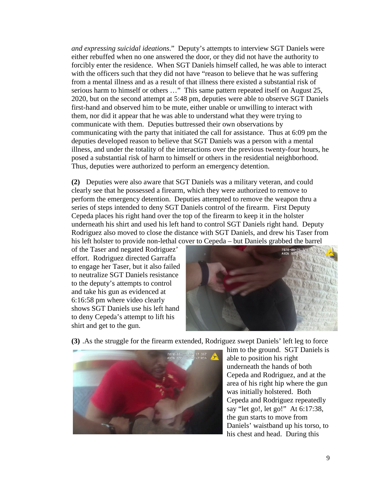*and expressing suicidal ideations*." Deputy's attempts to interview SGT Daniels were either rebuffed when no one answered the door, or they did not have the authority to forcibly enter the residence. When SGT Daniels himself called, he was able to interact with the officers such that they did not have "reason to believe that he was suffering from a mental illness and as a result of that illness there existed a substantial risk of serious harm to himself or others …" This same pattern repeated itself on August 25, 2020, but on the second attempt at 5:48 pm, deputies were able to observe SGT Daniels first-hand and observed him to be mute, either unable or unwilling to interact with them, nor did it appear that he was able to understand what they were trying to communicate with them. Deputies buttressed their own observations by communicating with the party that initiated the call for assistance. Thus at 6:09 pm the deputies developed reason to believe that SGT Daniels was a person with a mental illness, and under the totality of the interactions over the previous twenty-four hours, he posed a substantial risk of harm to himself or others in the residential neighborhood. Thus, deputies were authorized to perform an emergency detention.

**(2)** Deputies were also aware that SGT Daniels was a military veteran, and could clearly see that he possessed a firearm, which they were authorized to remove to perform the emergency detention. Deputies attempted to remove the weapon thru a series of steps intended to deny SGT Daniels control of the firearm. First Deputy Cepeda places his right hand over the top of the firearm to keep it in the holster underneath his shirt and used his left hand to control SGT Daniels right hand. Deputy Rodriguez also moved to close the distance with SGT Daniels, and drew his Taser from his left holster to provide non-lethal cover to Cepeda – but Daniels grabbed the barrel

of the Taser and negated Rodriguez' effort. Rodriguez directed Garraffa to engage her Taser, but it also failed to neutralize SGT Daniels resistance to the deputy's attempts to control and take his gun as evidenced at 6:16:58 pm where video clearly shows SGT Daniels use his left hand to deny Cepeda's attempt to lift his shirt and get to the gun.



**(3)** .As the struggle for the firearm extended, Rodriguez swept Daniels' left leg to force



him to the ground. SGT Daniels is able to position his right underneath the hands of both Cepeda and Rodriguez, and at the area of his right hip where the gun was initially holstered. Both Cepeda and Rodriguez repeatedly say "let go!, let go!" At 6:17:38, the gun starts to move from Daniels' waistband up his torso, to his chest and head. During this